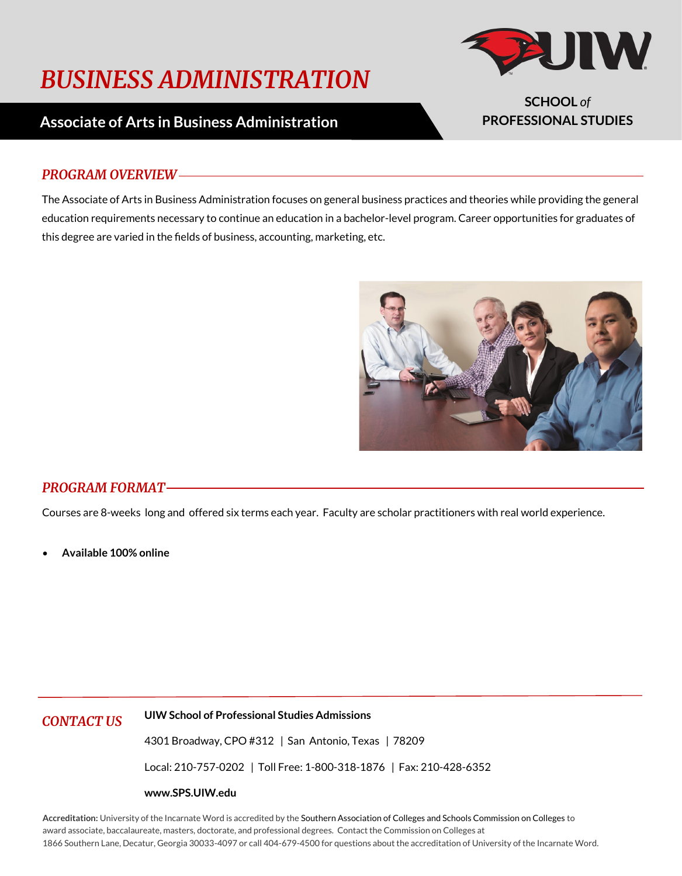# *BUSINESS ADMINISTRATION*



**SCHOOL** *of* **PROFESSIONAL STUDIES**

## **Associate of Arts in Business Administration**

#### *PROGRAM OVERVIEW*

The Associate of Arts in Business Administration focuses on general business practices and theories while providing the general education requirements necessary to continue an education in a bachelor-level program. Career opportunities for graduates of this degree are varied in the fields of business, accounting, marketing, etc.



#### *PROGRAM FORMAT*

Courses are 8-weeks long and offered six terms each year. Faculty are scholar practitioners with real world experience.

• **Available 100% online**

*CONTACT US* **UIW School of Professional Studies Admissions**

4301 Broadway, CPO #312 | San Antonio, Texas | 78209

Local: 210-757-0202 | Toll Free: 1-800-318-1876 | Fax: 210-428-6352

#### **www.SPS.UIW.edu**

**Accreditation:** University of the Incarnate Word is accredited by the Southern Association of Colleges and Schools Commission on Colleges to award associate, baccalaureate, masters, doctorate, and professional degrees. Contact the Commission on Colleges at 1866 Southern Lane, Decatur, Georgia 30033-4097 or call 404-679-4500 for questions about the accreditation of University of the Incarnate Word.